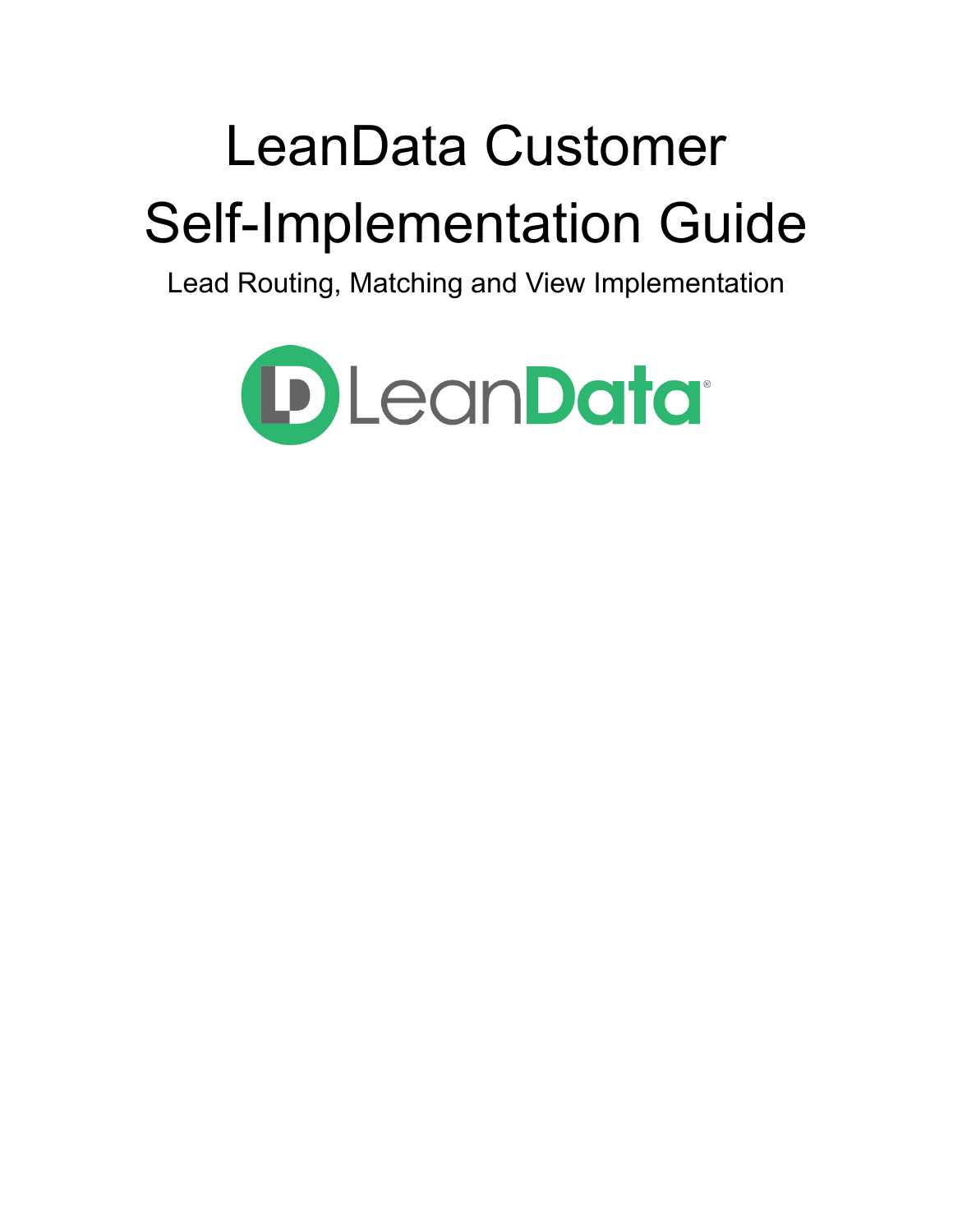# LeanData Customer Self-Implementation Guide

Lead Routing, Matching and View Implementation

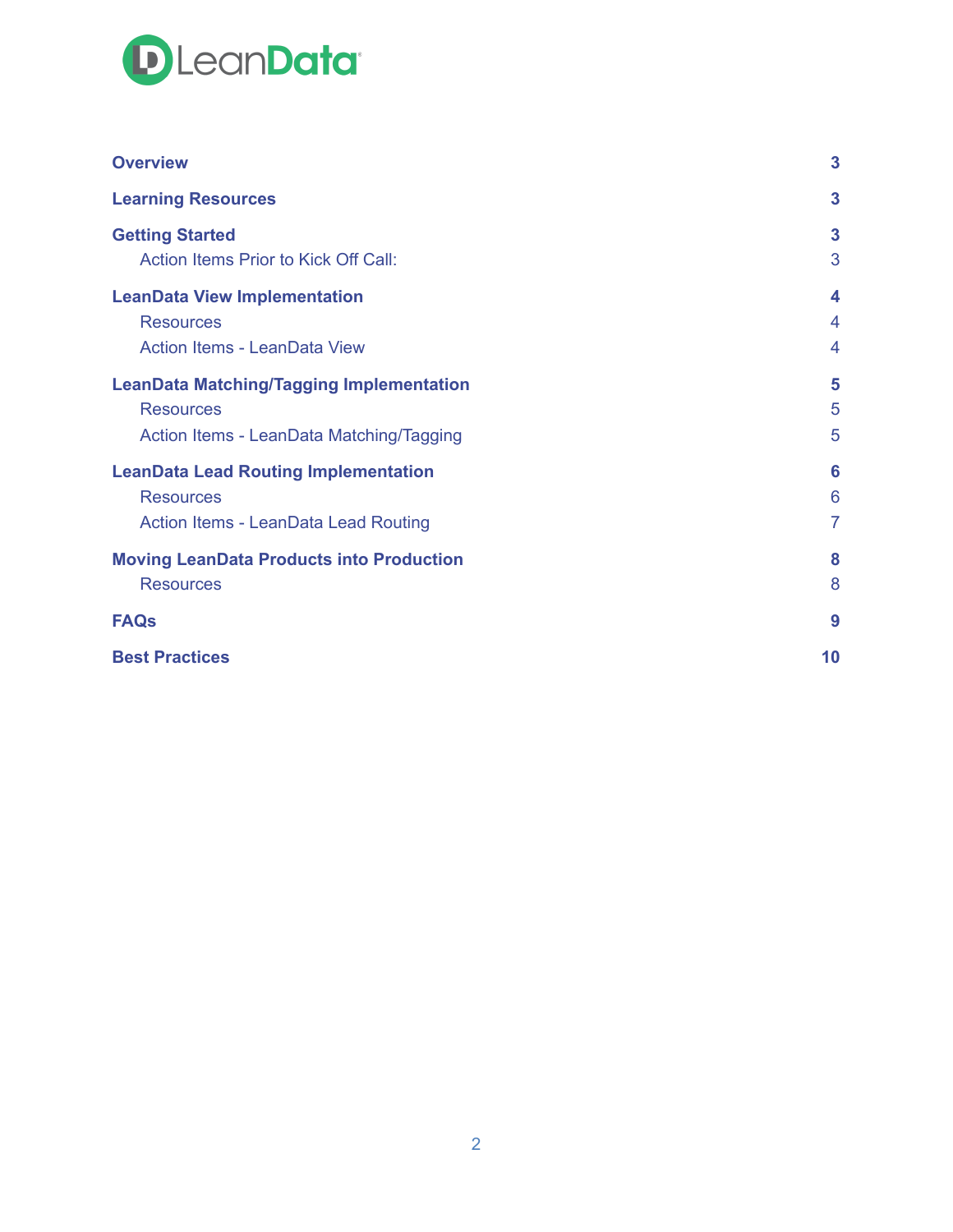

| <b>Overview</b>                                 | $\overline{\mathbf{3}}$ |
|-------------------------------------------------|-------------------------|
| <b>Learning Resources</b>                       | 3                       |
| <b>Getting Started</b>                          | 3                       |
| Action Items Prior to Kick Off Call:            | 3                       |
| <b>LeanData View Implementation</b>             | $\boldsymbol{4}$        |
| <b>Resources</b>                                | 4                       |
| <b>Action Items - LeanData View</b>             | $\overline{4}$          |
| <b>LeanData Matching/Tagging Implementation</b> | 5                       |
| <b>Resources</b>                                | 5                       |
| Action Items - LeanData Matching/Tagging        | 5                       |
| <b>LeanData Lead Routing Implementation</b>     | 6                       |
| <b>Resources</b>                                | 6                       |
| <b>Action Items - LeanData Lead Routing</b>     | $\overline{7}$          |
| <b>Moving LeanData Products into Production</b> | 8                       |
| <b>Resources</b>                                | 8                       |
| <b>FAQs</b>                                     | 9                       |
| <b>Best Practices</b>                           | 10                      |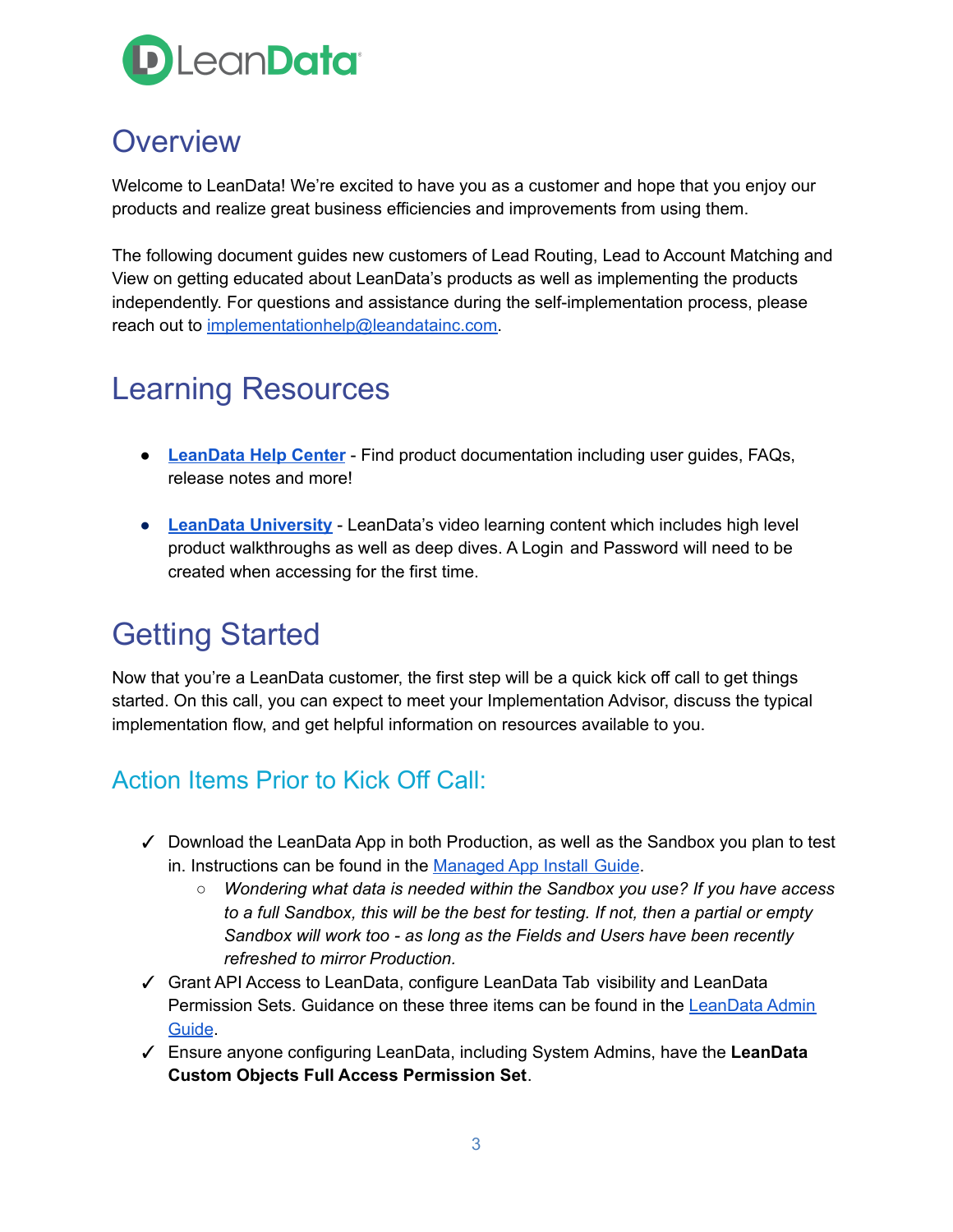

### <span id="page-2-0"></span>**Overview**

Welcome to LeanData! We're excited to have you as a customer and hope that you enjoy our products and realize great business efficiencies and improvements from using them.

The following document guides new customers of Lead Routing, Lead to Account Matching and View on getting educated about LeanData's products as well as implementing the products independently. For questions and assistance during the self-implementation process, please reach out to [implementationhelp@leandatainc.com.](mailto:implementationhelp@leandata.com)

## <span id="page-2-1"></span>Learning Resources

- **● [LeanData](https://leandatahelp.zendesk.com/hc/en-us) Help Center** Find product documentation including user guides, FAQs, release notes and more!
- **● LeanData [University](https://leandata.learnupon.com)** LeanData's video learning content which includes high level product walkthroughs as well as deep dives. A Login and Password will need to be created when accessing for the first time.

## <span id="page-2-2"></span>Getting Started

Now that you're a LeanData customer, the first step will be a quick kick off call to get things started. On this call, you can expect to meet your Implementation Advisor, discuss the typical implementation flow, and get helpful information on resources available to you.

#### <span id="page-2-3"></span>Action Items Prior to Kick Off Call:

- ✓ Download the LeanData App in both Production, as well as the Sandbox you plan to test in. Instructions can be found in the [Managed](https://leandatahelp.zendesk.com/hc/en-us/articles/360016337994-LeanData-Managed-App-Install-Guide) App Install Guide.
	- *○ Wondering what data is needed within the Sandbox you use? If you have access to a full Sandbox, this will be the best for testing. If not, then a partial or empty Sandbox will work too - as long as the Fields and Users have been recently refreshed to mirror Production.*
- ✓ Grant API Access to LeanData, configure LeanData Tab visibility and LeanData Permission Sets. Guidance on these three items can be found in the [LeanData](https://leandatahelp.zendesk.com/hc/en-us/articles/360016461333-LeanData-Admin-Guide-Standard-Configuration) Admin [Guide](https://leandatahelp.zendesk.com/hc/en-us/articles/360016461333-LeanData-Admin-Guide-Standard-Configuration).
- ✓ Ensure anyone configuring LeanData, including System Admins, have the **LeanData Custom Objects Full Access Permission Set**.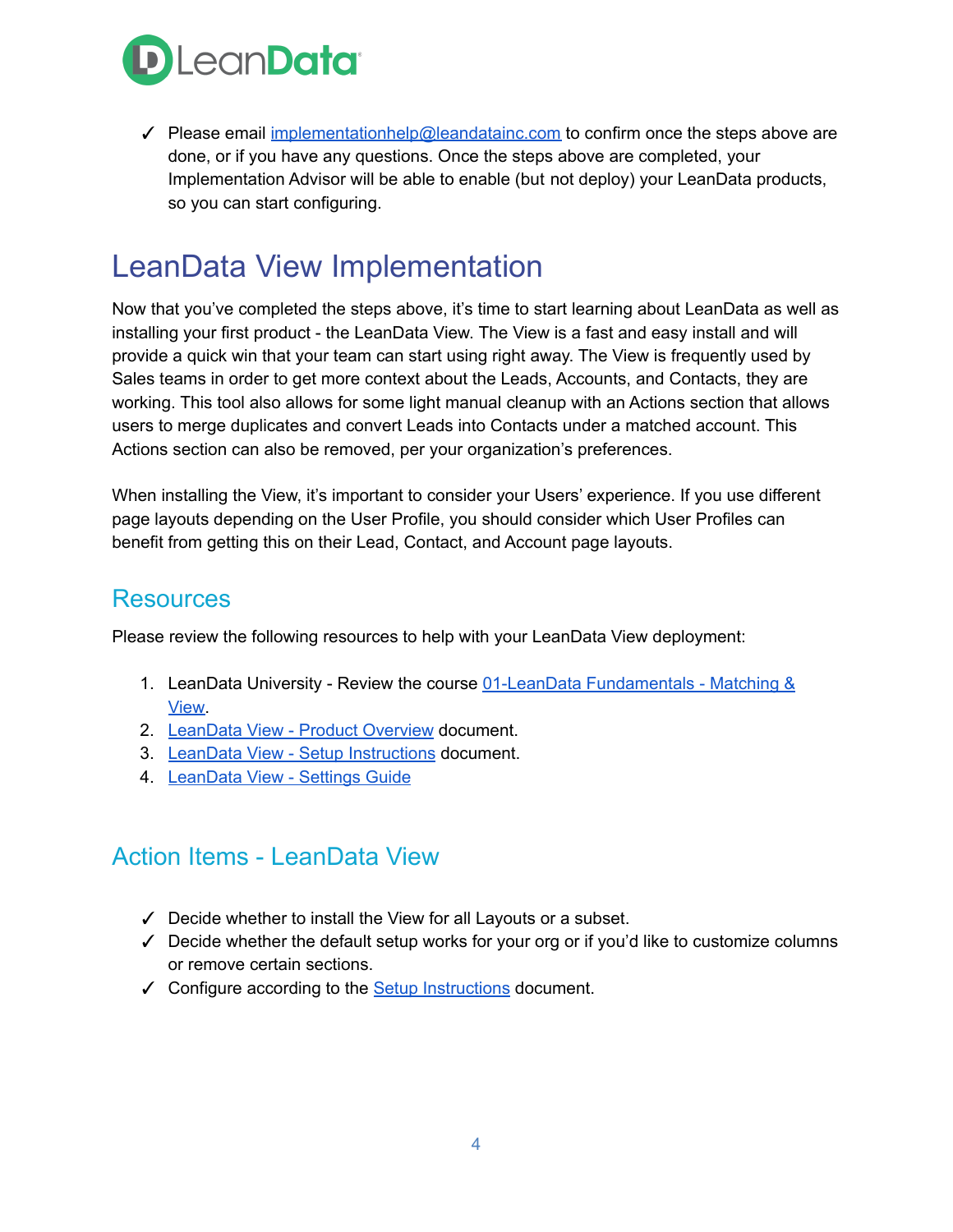

√ Please email [implementationhelp@leandatainc.com](mailto:implementationhelp@leandata.com) to confirm once the steps above are done, or if you have any questions. Once the steps above are completed, your Implementation Advisor will be able to enable (but not deploy) your LeanData products, so you can start configuring.

## <span id="page-3-0"></span>LeanData View Implementation

Now that you've completed the steps above, it's time to start learning about LeanData as well as installing your first product - the LeanData View. The View is a fast and easy install and will provide a quick win that your team can start using right away. The View is frequently used by Sales teams in order to get more context about the Leads, Accounts, and Contacts, they are working. This tool also allows for some light manual cleanup with an Actions section that allows users to merge duplicates and convert Leads into Contacts under a matched account. This Actions section can also be removed, per your organization's preferences.

When installing the View, it's important to consider your Users' experience. If you use different page layouts depending on the User Profile, you should consider which User Profiles can benefit from getting this on their Lead, Contact, and Account page layouts.

#### <span id="page-3-1"></span>**Resources**

Please review the following resources to help with your LeanData View deployment:

- 1. LeanData University Review the course 01-LeanData [Fundamentals](https://leandata.learnupon.com/catalog/courses/615565) Matching & [View.](https://leandata.learnupon.com/catalog/courses/615565)
- 2. [LeanData](https://leandatahelp.zendesk.com/hc/en-us/articles/360018984874-View-Product-Overview) View Product Overview document.
- 3. LeanData View Setup [Instructions](https://leandatahelp.zendesk.com/hc/en-us/articles/360016337554-View-Setup-Instructions) document.
- 4. [LeanData](https://leandatahelp.zendesk.com/hc/en-us/articles/360036987633) View Settings Guide

#### <span id="page-3-2"></span>Action Items - LeanData View

- ✓ Decide whether to install the View for all Layouts or a subset.
- ✓ Decide whether the default setup works for your org or if you'd like to customize columns or remove certain sections.
- ✓ Configure according to the Setup [Instructions](https://leandatahelp.zendesk.com/hc/en-us/articles/360016337554-View-Setup-Instructions) document.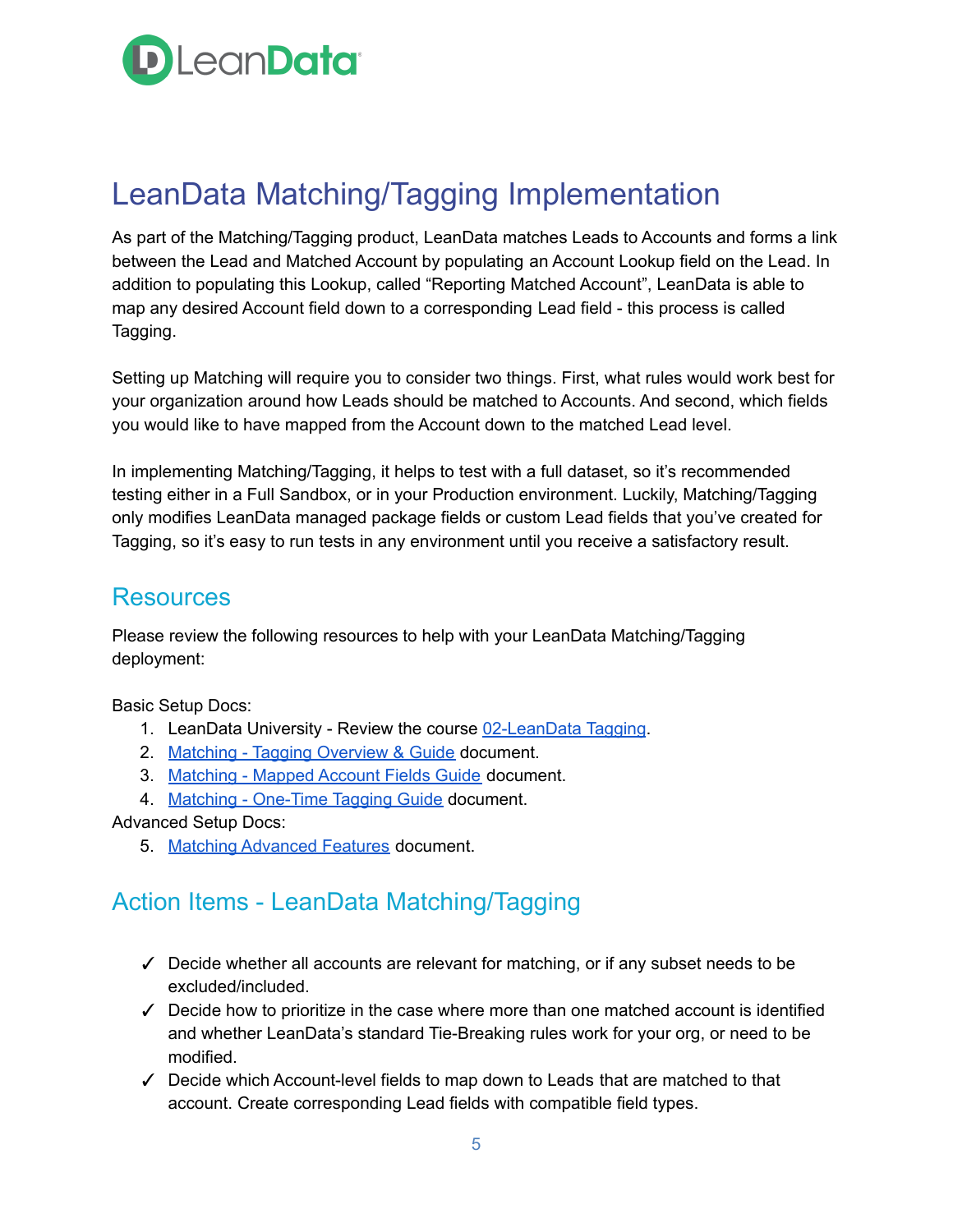

## <span id="page-4-0"></span>LeanData Matching/Tagging Implementation

As part of the Matching/Tagging product, LeanData matches Leads to Accounts and forms a link between the Lead and Matched Account by populating an Account Lookup field on the Lead. In addition to populating this Lookup, called "Reporting Matched Account", LeanData is able to map any desired Account field down to a corresponding Lead field - this process is called Tagging.

Setting up Matching will require you to consider two things. First, what rules would work best for your organization around how Leads should be matched to Accounts. And second, which fields you would like to have mapped from the Account down to the matched Lead level.

In implementing Matching/Tagging, it helps to test with a full dataset, so it's recommended testing either in a Full Sandbox, or in your Production environment. Luckily, Matching/Tagging only modifies LeanData managed package fields or custom Lead fields that you've created for Tagging, so it's easy to run tests in any environment until you receive a satisfactory result.

#### <span id="page-4-1"></span>**Resources**

Please review the following resources to help with your LeanData Matching/Tagging deployment:

Basic Setup Docs:

- 1. LeanData University Review the course [02-LeanData](https://leandata.learnupon.com/catalog/courses/616645) Tagging.
- 2. Matching Tagging [Overview](https://leandatahelp.zendesk.com/hc/en-us/articles/360016337754-Matching-Tagging-Overview-Guide) & Guide document.
- 3. [Matching](https://leandatahelp.zendesk.com/hc/en-us/articles/360006922653-Matching-Mapped-Account-Fields-Guide) Mapped Account Fields Guide document.
- 4. Matching [One-Time](https://leandatahelp.zendesk.com/hc/en-us/articles/360018808274-Matching-One-Time-Tagging-Guide) Tagging Guide document.

#### Advanced Setup Docs:

5. Matching [Advanced](https://leandatahelp.zendesk.com/hc/en-us/categories/360001426693-Matching-View) Features document.

#### <span id="page-4-2"></span>Action Items - LeanData Matching/Tagging

- $\checkmark$  Decide whether all accounts are relevant for matching, or if any subset needs to be excluded/included.
- $\checkmark$  Decide how to prioritize in the case where more than one matched account is identified and whether LeanData's standard Tie-Breaking rules work for your org, or need to be modified.
- ✓ Decide which Account-level fields to map down to Leads that are matched to that account. Create corresponding Lead fields with compatible field types.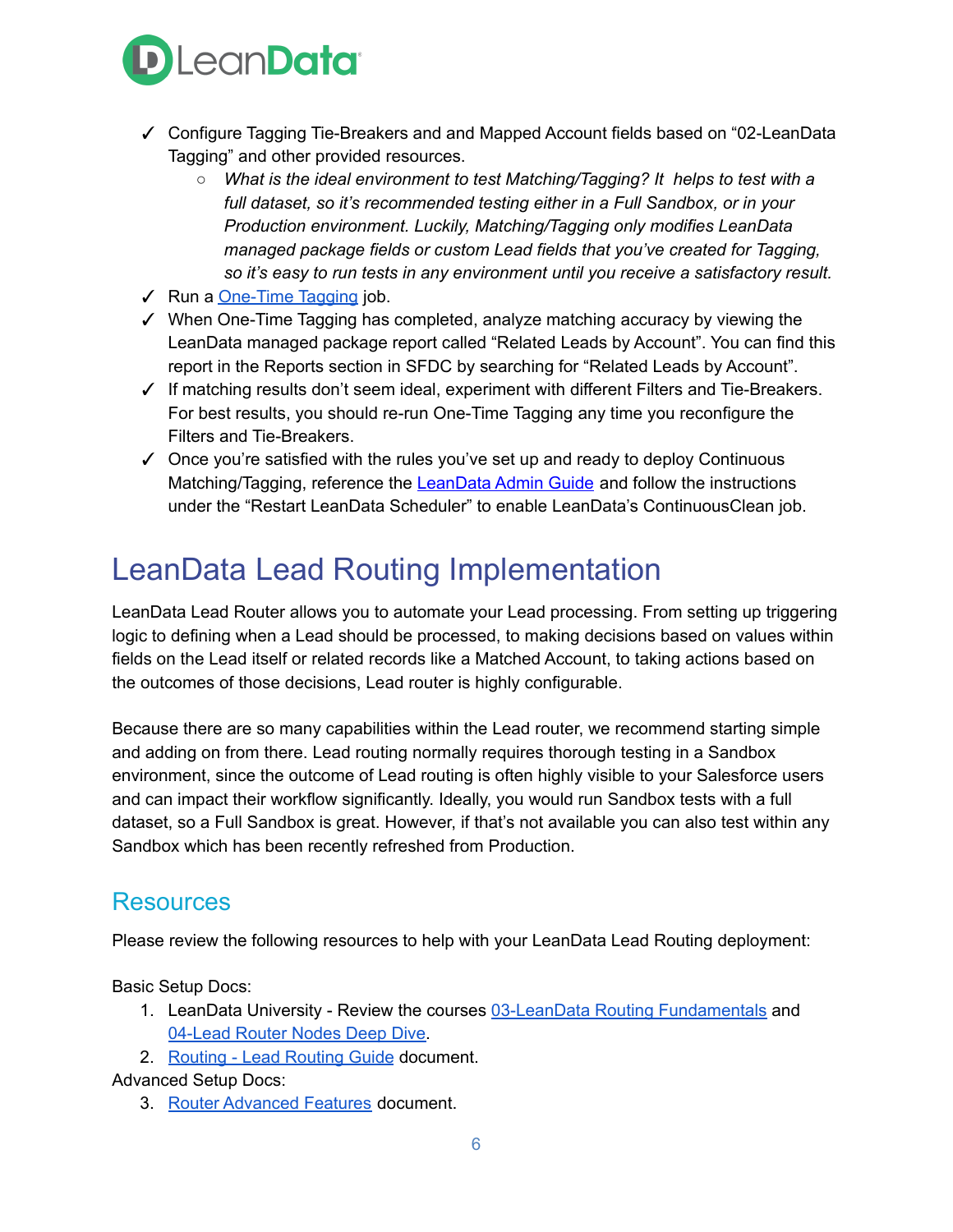

- ✓ Configure Tagging Tie-Breakers and and Mapped Account fields based on "02-LeanData Tagging" and other provided resources.
	- *○ What is the ideal environment to test Matching/Tagging? It helps to test with a full dataset, so it's recommended testing either in a Full Sandbox, or in your Production environment. Luckily, Matching/Tagging only modifies LeanData managed package fields or custom Lead fields that you've created for Tagging, so it's easy to run tests in any environment until you receive a satisfactory result.*
- ✓ Run a [One-Time](https://leandatahelp.zendesk.com/hc/en-us/articles/360018808274-Matching-One-Time-Tagging-Guide) Tagging job.
- ✓ When One-Time Tagging has completed, analyze matching accuracy by viewing the LeanData managed package report called "Related Leads by Account". You can find this report in the Reports section in SFDC by searching for "Related Leads by Account".
- ✓ If matching results don't seem ideal, experiment with different Filters and Tie-Breakers. For best results, you should re-run One-Time Tagging any time you reconfigure the Filters and Tie-Breakers.
- $\checkmark$  Once you're satisfied with the rules you've set up and ready to deploy Continuous Matching/Tagging, reference the [LeanData](https://leandatahelp.zendesk.com/hc/en-us/articles/360016461333-LeanData-Admin-Guide-Standard-Configuration) Admin Guide and follow the instructions under the "Restart LeanData Scheduler" to enable LeanData's ContinuousClean job.

## <span id="page-5-0"></span>LeanData Lead Routing Implementation

LeanData Lead Router allows you to automate your Lead processing. From setting up triggering logic to defining when a Lead should be processed, to making decisions based on values within fields on the Lead itself or related records like a Matched Account, to taking actions based on the outcomes of those decisions, Lead router is highly configurable.

Because there are so many capabilities within the Lead router, we recommend starting simple and adding on from there. Lead routing normally requires thorough testing in a Sandbox environment, since the outcome of Lead routing is often highly visible to your Salesforce users and can impact their workflow significantly. Ideally, you would run Sandbox tests with a full dataset, so a Full Sandbox is great. However, if that's not available you can also test within any Sandbox which has been recently refreshed from Production.

#### <span id="page-5-1"></span>**Resources**

Please review the following resources to help with your LeanData Lead Routing deployment:

Basic Setup Docs:

- 1. LeanData University Review the courses 03-LeanData Routing [Fundamentals](https://leandata.learnupon.com/catalog/courses/616656) and [04-Lead](https://leandata.learnupon.com/catalog/courses/611289) Router Nodes Deep Dive.
- 2. [Routing](https://leandatahelp.zendesk.com/hc/en-us/articles/360016339074-Routing-Lead-Router-Guide) Lead Routing Guide document.

Advanced Setup Docs:

3. Router [Advanced](https://leandatahelp.zendesk.com/hc/en-us/sections/360003255894-User-Guides) Features document.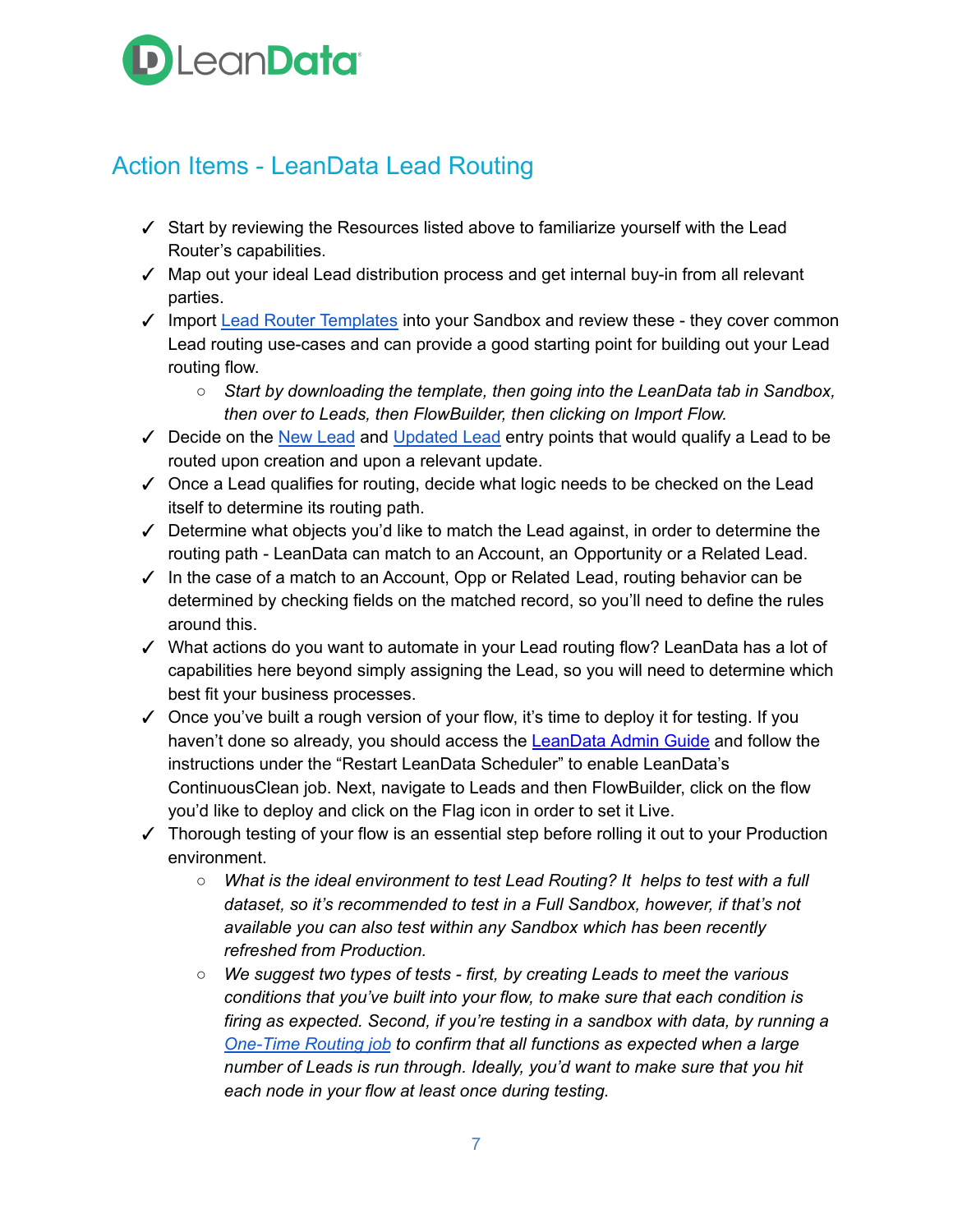## **D** LeanData<sup>®</sup>

#### <span id="page-6-0"></span>Action Items - LeanData Lead Routing

- ✓ Start by reviewing the Resources listed above to familiarize yourself with the Lead Router's capabilities.
- ✓ Map out your ideal Lead distribution process and get internal buy-in from all relevant parties.
- ✓ Import Lead Router [Templates](https://leandatahelp.zendesk.com/hc/en-us/articles/1260806271369) into your Sandbox and review these they cover common Lead routing use-cases and can provide a good starting point for building out your Lead routing flow.
	- *○ Start by downloading the template, then going into the LeanData tab in Sandbox, then over to Leads, then FlowBuilder, then clicking on Import Flow.*
- $\checkmark$  Decide on the New [Lead](https://leandatahelp.zendesk.com/hc/en-us/articles/360035549613-Routing-New-Entry-Node-Guide) and [Updated](https://leandatahelp.zendesk.com/hc/en-us/articles/360035207834-Routing-Updated-Entry-Node-Guide) Lead entry points that would qualify a Lead to be routed upon creation and upon a relevant update.
- $\checkmark$  Once a Lead qualifies for routing, decide what logic needs to be checked on the Lead itself to determine its routing path.
- ✓ Determine what objects you'd like to match the Lead against, in order to determine the routing path - LeanData can match to an Account, an Opportunity or a Related Lead.
- $\checkmark$  In the case of a match to an Account, Opp or Related Lead, routing behavior can be determined by checking fields on the matched record, so you'll need to define the rules around this.
- ✓ What actions do you want to automate in your Lead routing flow? LeanData has a lot of capabilities here beyond simply assigning the Lead, so you will need to determine which best fit your business processes.
- $\checkmark$  Once you've built a rough version of your flow, it's time to deploy it for testing. If you haven't done so already, you should access the [LeanData](https://leandatahelp.zendesk.com/hc/en-us/articles/360016461333-LeanData-Admin-Guide-Standard-Configuration) Admin Guide and follow the instructions under the "Restart LeanData Scheduler" to enable LeanData's ContinuousClean job. Next, navigate to Leads and then FlowBuilder, click on the flow you'd like to deploy and click on the Flag icon in order to set it Live.
- ✓ Thorough testing of your flow is an essential step before rolling it out to your Production environment.
	- *○ What is the ideal environment to test Lead Routing? It helps to test with a full dataset, so it's recommended to test in a Full Sandbox, however, if that's not available you can also test within any Sandbox which has been recently refreshed from Production.*
	- *○ We suggest two types of tests - first, by creating Leads to meet the various conditions that you've built into your flow, to make sure that each condition is firing as expected. Second, if you're testing in a sandbox with data, by running a [One-Time](https://leandatahelp.zendesk.com/hc/en-us/articles/360016461473-Routing-One-Time-Router) Routing job to confirm that all functions as expected when a large number of Leads is run through. Ideally, you'd want to make sure that you hit each node in your flow at least once during testing.*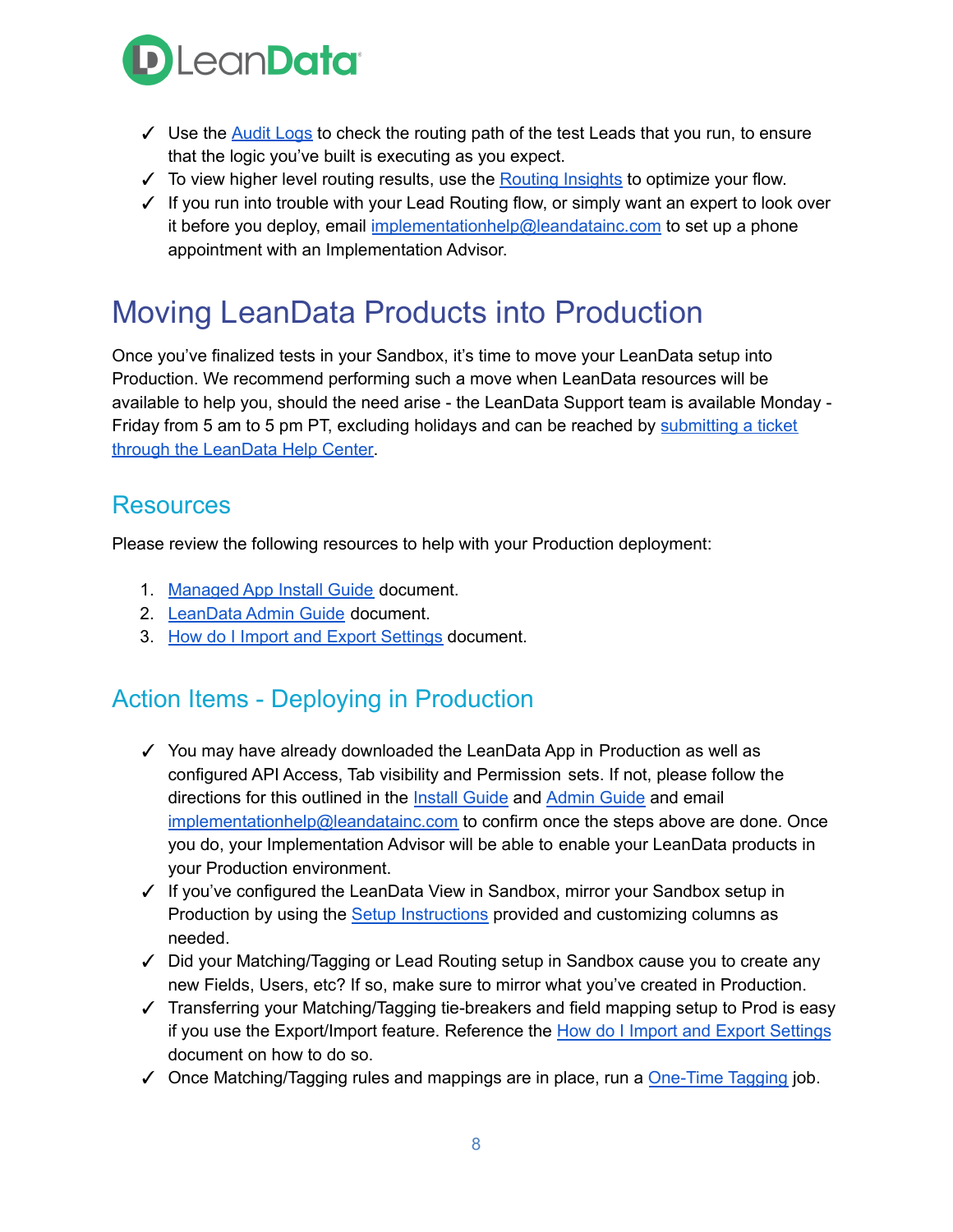

- $\checkmark$  Use the [Audit](https://leandatahelp.zendesk.com/hc/en-us/articles/360005472793-Routing-Audit-Logs-Guide) Logs to check the routing path of the test Leads that you run, to ensure that the logic you've built is executing as you expect.
- $\checkmark$  To view higher level routing results, use the **[Routing](https://leandatahelp.zendesk.com/hc/en-us/articles/360020075914-Routing-Deployment-History-Routing-Insights-Guide) Insights** to optimize your flow.
- ✓ If you run into trouble with your Lead Routing flow, or simply want an expert to look over it before you deploy, email [implementationhelp@leandatainc.com](mailto:implementationhelp@leandata.com) to set up a phone appointment with an Implementation Advisor.

## <span id="page-7-0"></span>Moving LeanData Products into Production

Once you've finalized tests in your Sandbox, it's time to move your LeanData setup into Production. We recommend performing such a move when LeanData resources will be available to help you, should the need arise - the LeanData Support team is available Monday Friday from 5 am to 5 pm PT, excluding holidays and can be reached by [submitting](https://leandatahelp.zendesk.com/hc/en-us/requests/new) a ticket through the [LeanData](https://leandatahelp.zendesk.com/hc/en-us/requests/new) Help Center.

#### <span id="page-7-1"></span>**Resources**

Please review the following resources to help with your Production deployment:

- 1. [Managed](https://leandatahelp.zendesk.com/hc/en-us/articles/360016337994-LeanData-Managed-App-Install-Guide) App Install Guide document.
- 2. [LeanData](https://leandatahelp.zendesk.com/hc/en-us/articles/360016461333-LeanData-Admin-Guide-Standard-Configuration) Admin Guide document.
- 3. How do I Import and Export [Settings](https://leandatahelp.zendesk.com/hc/en-us/articles/360020605493-How-do-I-Import-and-Export-Settings-RR-Pools-Tie-Breakers-Etc-) document.

#### Action Items - Deploying in Production

- ✓ You may have already downloaded the LeanData App in Production as well as configured API Access, Tab visibility and Permission sets. If not, please follow the directions for this outlined in the Install [Guide](https://leandatahelp.zendesk.com/hc/en-us/articles/360016337994-LeanData-Managed-App-Install-Guide) and [Admin](https://leandatahelp.zendesk.com/hc/en-us/articles/360016461333-LeanData-Admin-Guide-Standard-Configuration) Guide and email [implementationhelp@leandatainc.com](mailto:implementationhelp@leandatainc.com) to confirm once the steps above are done. Once you do, your Implementation Advisor will be able to enable your LeanData products in your Production environment.
- ✓ If you've configured the LeanData View in Sandbox, mirror your Sandbox setup in Production by using the Setup [Instructions](https://leandatahelp.zendesk.com/hc/en-us/articles/360016337554-View-Setup-Instructions) provided and customizing columns as needed.
- ✓ Did your Matching/Tagging or Lead Routing setup in Sandbox cause you to create any new Fields, Users, etc? If so, make sure to mirror what you've created in Production.
- ✓ Transferring your Matching/Tagging tie-breakers and field mapping setup to Prod is easy if you use the Export/Import feature. Reference the How do I Import and Export [Settings](https://leandatahelp.zendesk.com/hc/en-us/articles/360020605493-How-do-I-Import-and-Export-Settings-RR-Pools-Tie-Breakers-Etc-) document on how to do so.
- ✓ Once Matching/Tagging rules and mappings are in place, run a [One-Time](https://leandatahelp.zendesk.com/hc/en-us/articles/360018808274-Matching-One-Time-Tagging-Guide) Tagging job.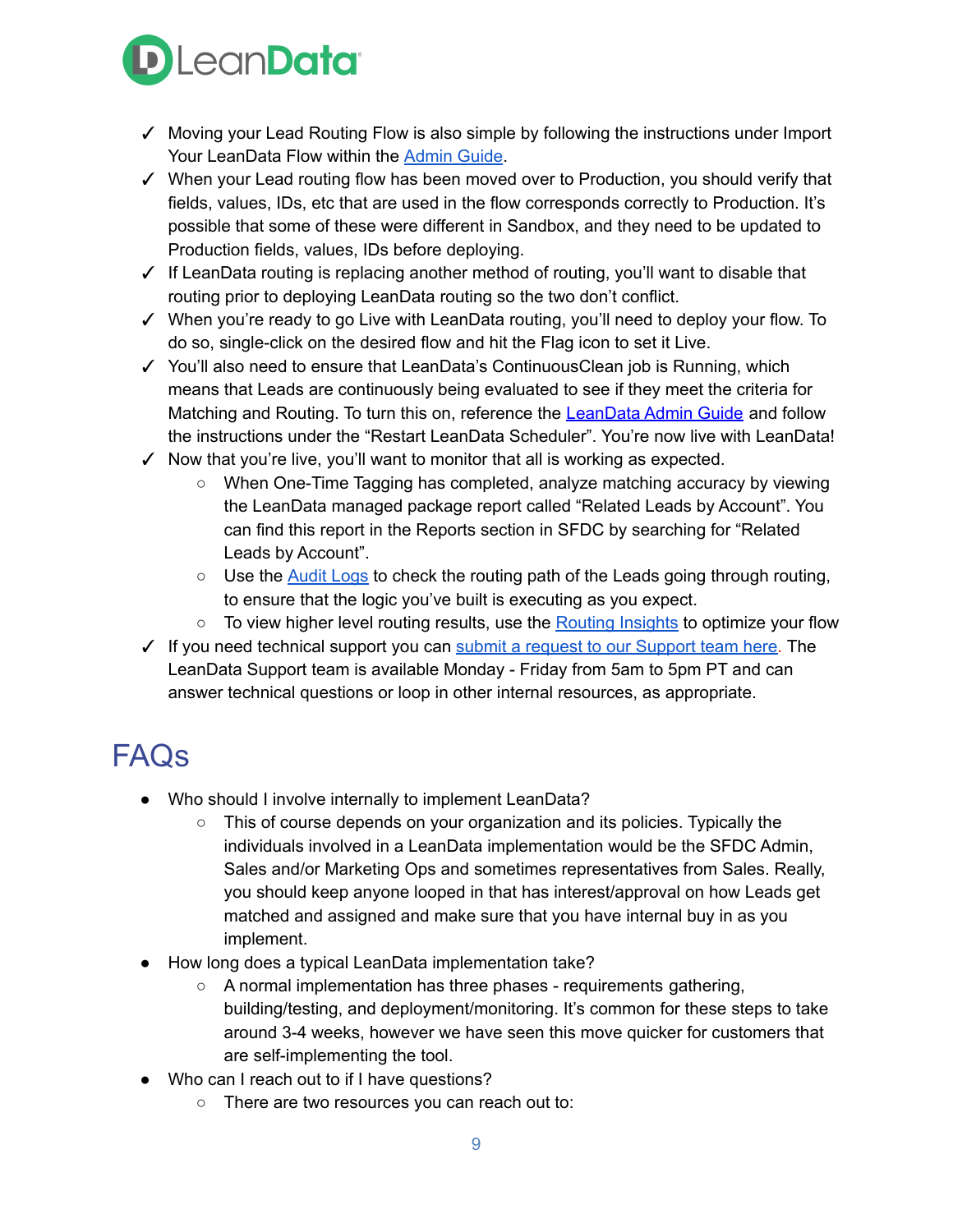

- ✓ Moving your Lead Routing Flow is also simple by following the instructions under Import Your LeanData Flow within the [Admin](https://leandatahelp.zendesk.com/hc/en-us/articles/360016461333-LeanData-Admin-Guide-Standard-Configuration) Guide.
- ✓ When your Lead routing flow has been moved over to Production, you should verify that fields, values, IDs, etc that are used in the flow corresponds correctly to Production. It's possible that some of these were different in Sandbox, and they need to be updated to Production fields, values, IDs before deploying.
- ✓ If LeanData routing is replacing another method of routing, you'll want to disable that routing prior to deploying LeanData routing so the two don't conflict.
- ✓ When you're ready to go Live with LeanData routing, you'll need to deploy your flow. To do so, single-click on the desired flow and hit the Flag icon to set it Live.
- ✓ You'll also need to ensure that LeanData's ContinuousClean job is Running, which means that Leads are continuously being evaluated to see if they meet the criteria for Matching and Routing. To turn this on, reference the [LeanData](https://leandatahelp.zendesk.com/hc/en-us/articles/360016461333-LeanData-Admin-Guide-Standard-Configuration) Admin Guide and follow the instructions under the "Restart LeanData Scheduler". You're now live with LeanData!
- ✓ Now that you're live, you'll want to monitor that all is working as expected.
	- When One-Time Tagging has completed, analyze matching accuracy by viewing the LeanData managed package report called "Related Leads by Account". You can find this report in the Reports section in SFDC by searching for "Related Leads by Account".
	- $\circ$  Use the [Audit](https://leandatahelp.zendesk.com/hc/en-us/articles/360005472793-Routing-Audit-Logs-Guide) Logs to check the routing path of the Leads going through routing, to ensure that the logic you've built is executing as you expect.
	- To view higher level routing results, use the **[Routing](https://leandatahelp.zendesk.com/hc/en-us/articles/360020075914-Routing-Deployment-History-Routing-Insights-Guide) Insights** to optimize your flow
- $\checkmark$  If you need technical support you can submit a request to our [Support](https://leandatahelp.zendesk.com/hc/en-us/requests/new) team here. The LeanData Support team is available Monday - Friday from 5am to 5pm PT and can answer technical questions or loop in other internal resources, as appropriate.

## <span id="page-8-0"></span>FAQs

- Who should I involve internally to implement LeanData?
	- This of course depends on your organization and its policies. Typically the individuals involved in a LeanData implementation would be the SFDC Admin, Sales and/or Marketing Ops and sometimes representatives from Sales. Really, you should keep anyone looped in that has interest/approval on how Leads get matched and assigned and make sure that you have internal buy in as you implement.
- How long does a typical LeanData implementation take?
	- A normal implementation has three phases requirements gathering, building/testing, and deployment/monitoring. It's common for these steps to take around 3-4 weeks, however we have seen this move quicker for customers that are self-implementing the tool.
- Who can I reach out to if I have questions?
	- There are two resources you can reach out to: